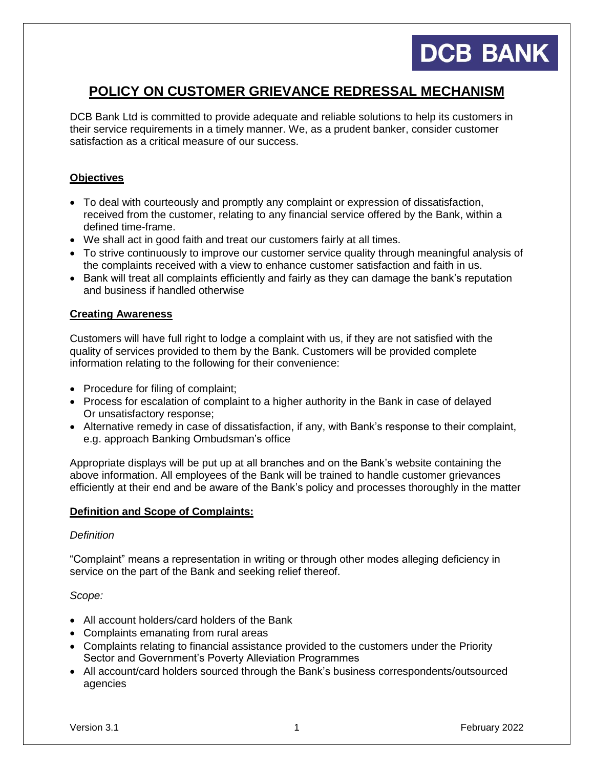# **DCB BANK**

# **POLICY ON CUSTOMER GRIEVANCE REDRESSAL MECHANISM**

DCB Bank Ltd is committed to provide adequate and reliable solutions to help its customers in their service requirements in a timely manner. We, as a prudent banker, consider customer satisfaction as a critical measure of our success.

# **Objectives**

- To deal with courteously and promptly any complaint or expression of dissatisfaction, received from the customer, relating to any financial service offered by the Bank, within a defined time-frame.
- We shall act in good faith and treat our customers fairly at all times.
- To strive continuously to improve our customer service quality through meaningful analysis of the complaints received with a view to enhance customer satisfaction and faith in us.
- Bank will treat all complaints efficiently and fairly as they can damage the bank's reputation and business if handled otherwise

# **Creating Awareness**

Customers will have full right to lodge a complaint with us, if they are not satisfied with the quality of services provided to them by the Bank. Customers will be provided complete information relating to the following for their convenience:

- Procedure for filing of complaint;
- Process for escalation of complaint to a higher authority in the Bank in case of delayed Or unsatisfactory response;
- Alternative remedy in case of dissatisfaction, if any, with Bank's response to their complaint, e.g. approach Banking Ombudsman's office

Appropriate displays will be put up at all branches and on the Bank's website containing the above information. All employees of the Bank will be trained to handle customer grievances efficiently at their end and be aware of the Bank's policy and processes thoroughly in the matter

# **Definition and Scope of Complaints:**

#### *Definition*

"Complaint" means a representation in writing or through other modes alleging deficiency in service on the part of the Bank and seeking relief thereof.

# *Scope:*

- All account holders/card holders of the Bank
- Complaints emanating from rural areas
- Complaints relating to financial assistance provided to the customers under the Priority Sector and Government's Poverty Alleviation Programmes
- All account/card holders sourced through the Bank's business correspondents/outsourced agencies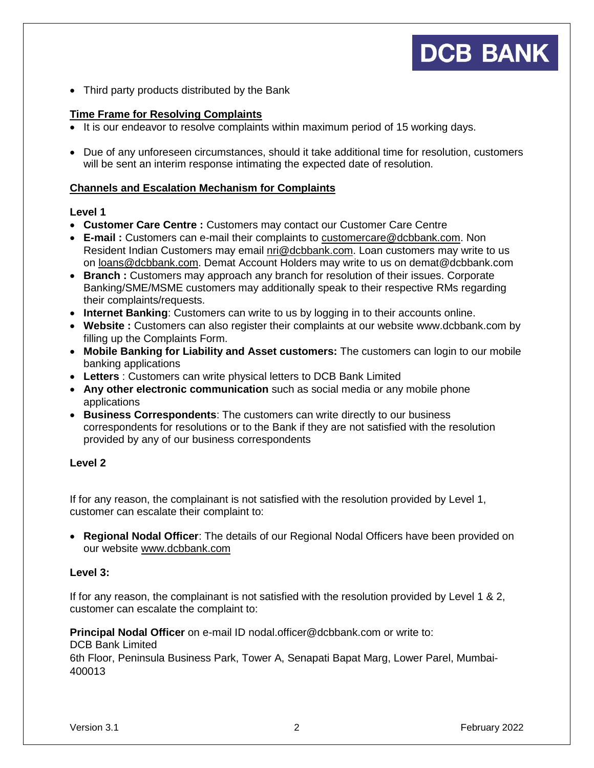• Third party products distributed by the Bank

# **Time Frame for Resolving Complaints**

- It is our endeavor to resolve complaints within maximum period of 15 working days.
- Due of any unforeseen circumstances, should it take additional time for resolution, customers will be sent an interim response intimating the expected date of resolution.

# **Channels and Escalation Mechanism for Complaints**

# **Level 1**

- **Customer Care Centre :** Customers may contact our Customer Care Centre
- **E-mail :** Customers can e-mail their complaints to [customercare@dcbbank.com.](mailto:customercare@dcbbank.com) Non Resident Indian Customers may email [nri@dcbbank.com.](mailto:nri@dcbbank.com) Loan customers may write to us on [loans@dcbbank.com.](mailto:loans@dcbbank.com) Demat Account Holders may write to us on demat@dcbbank.com
- **Branch :** Customers may approach any branch for resolution of their issues. Corporate Banking/SME/MSME customers may additionally speak to their respective RMs regarding their complaints/requests.
- **Internet Banking**: Customers can write to us by logging in to their accounts online.
- **Website :** Customers can also register their complaints at our website [www.dcbbank.com](http://www.dcbbank.com/) by filling up the Complaints Form.
- **Mobile Banking for Liability and Asset customers:** The customers can login to our mobile banking applications
- **Letters** : Customers can write physical letters to DCB Bank Limited
- **Any other electronic communication** such as social media or any mobile phone applications
- **Business Correspondents**: The customers can write directly to our business correspondents for resolutions or to the Bank if they are not satisfied with the resolution provided by any of our business correspondents

# **Level 2**

If for any reason, the complainant is not satisfied with the resolution provided by Level 1, customer can escalate their complaint to:

 **Regional Nodal Officer**: The details of our Regional Nodal Officers have been provided on our website [www.dcbbank.com](http://www.dcbbank.com/)

# **Level 3:**

If for any reason, the complainant is not satisfied with the resolution provided by Level 1 & 2, customer can escalate the complaint to:

**Principal Nodal Officer** on e-mail ID [nodal.officer@dcbbank.com](mailto:nodal.officer@dcbbank.com) or write to:

DCB Bank Limited

6th Floor, Peninsula Business Park, Tower A, Senapati Bapat Marg, Lower Parel, Mumbai-400013

**DCB BANK**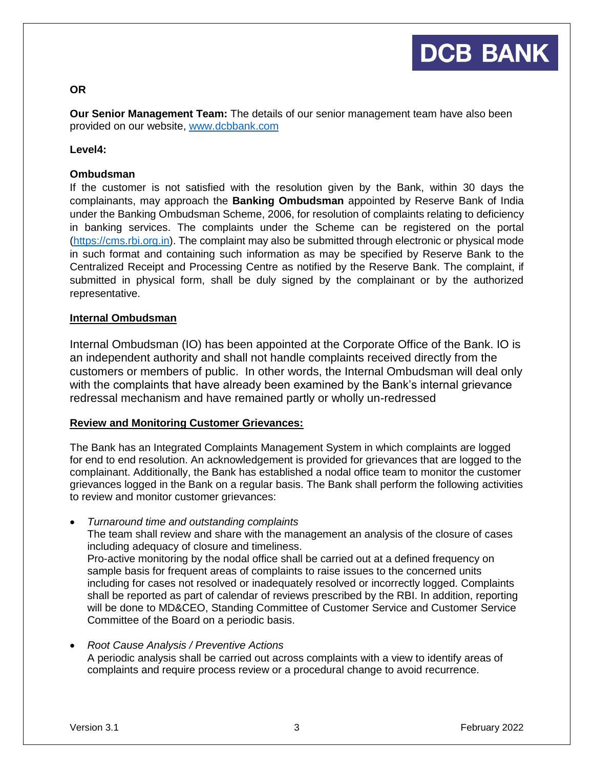#### **OR**

**Our Senior Management Team:** The details of our senior management team have also been provided on our website, [www.dcbbank.com](http://www.dcbbank.com/)

#### **Level4:**

#### **Ombudsman**

If the customer is not satisfied with the resolution given by the Bank, within 30 days the complainants, may approach the **Banking Ombudsman** appointed by Reserve Bank of India under the Banking Ombudsman Scheme, 2006, for resolution of complaints relating to deficiency in banking services. The complaints under the Scheme can be registered on the portal [\(https://cms.rbi.org.in\)](https://cms.rbi.org.in/). The complaint may also be submitted through electronic or physical mode in such format and containing such information as may be specified by Reserve Bank to the Centralized Receipt and Processing Centre as notified by the Reserve Bank. The complaint, if submitted in physical form, shall be duly signed by the complainant or by the authorized representative.

#### **Internal Ombudsman**

Internal Ombudsman (IO) has been appointed at the Corporate Office of the Bank. IO is an independent authority and shall not handle complaints received directly from the customers or members of public. In other words, the Internal Ombudsman will deal only with the complaints that have already been examined by the Bank's internal grievance redressal mechanism and have remained partly or wholly un-redressed

#### **Review and Monitoring Customer Grievances:**

The Bank has an Integrated Complaints Management System in which complaints are logged for end to end resolution. An acknowledgement is provided for grievances that are logged to the complainant. Additionally, the Bank has established a nodal office team to monitor the customer grievances logged in the Bank on a regular basis. The Bank shall perform the following activities to review and monitor customer grievances:

- *Turnaround time and outstanding complaints*  The team shall review and share with the management an analysis of the closure of cases including adequacy of closure and timeliness. Pro-active monitoring by the nodal office shall be carried out at a defined frequency on sample basis for frequent areas of complaints to raise issues to the concerned units including for cases not resolved or inadequately resolved or incorrectly logged. Complaints shall be reported as part of calendar of reviews prescribed by the RBI. In addition, reporting will be done to MD&CEO, Standing Committee of Customer Service and Customer Service Committee of the Board on a periodic basis.
- *Root Cause Analysis / Preventive Actions*  A periodic analysis shall be carried out across complaints with a view to identify areas of complaints and require process review or a procedural change to avoid recurrence.

**DCB BANK**